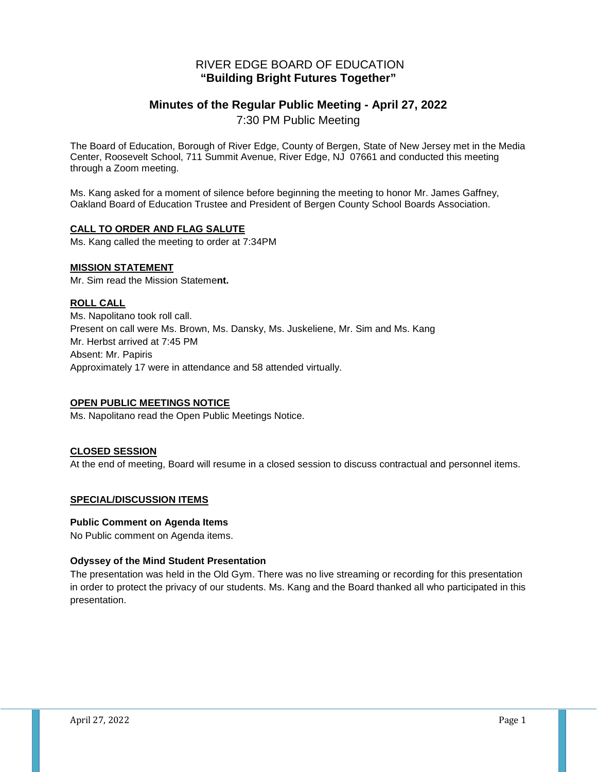# RIVER EDGE BOARD OF EDUCATION **"Building Bright Futures Together"**

# **Minutes of the Regular Public Meeting - April 27, 2022**

7:30 PM Public Meeting

The Board of Education, Borough of River Edge, County of Bergen, State of New Jersey met in the Media Center, Roosevelt School, 711 Summit Avenue, River Edge, NJ 07661 and conducted this meeting through a Zoom meeting.

Ms. Kang asked for a moment of silence before beginning the meeting to honor Mr. James Gaffney, Oakland Board of Education Trustee and President of Bergen County School Boards Association.

### **CALL TO ORDER AND FLAG SALUTE**

Ms. Kang called the meeting to order at 7:34PM

### **MISSION STATEMENT**

Mr. Sim read the Mission Stateme**nt.**

### **ROLL CALL**

Ms. Napolitano took roll call. Present on call were Ms. Brown, Ms. Dansky, Ms. Juskeliene, Mr. Sim and Ms. Kang Mr. Herbst arrived at 7:45 PM Absent: Mr. Papiris Approximately 17 were in attendance and 58 attended virtually.

#### **OPEN PUBLIC MEETINGS NOTICE**

Ms. Napolitano read the Open Public Meetings Notice.

#### **CLOSED SESSION**

At the end of meeting, Board will resume in a closed session to discuss contractual and personnel items.

#### **SPECIAL/DISCUSSION ITEMS**

#### **Public Comment on Agenda Items**

No Public comment on Agenda items.

#### **Odyssey of the Mind Student Presentation**

The presentation was held in the Old Gym. There was no live streaming or recording for this presentation in order to protect the privacy of our students. Ms. Kang and the Board thanked all who participated in this presentation.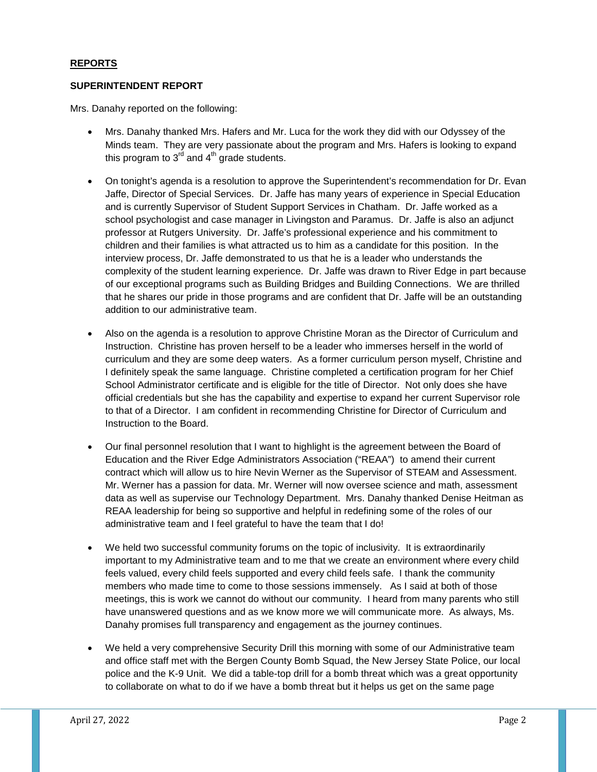#### **REPORTS**

#### **SUPERINTENDENT REPORT**

Mrs. Danahy reported on the following:

- Mrs. Danahy thanked Mrs. Hafers and Mr. Luca for the work they did with our Odyssey of the Minds team. They are very passionate about the program and Mrs. Hafers is looking to expand this program to  $3<sup>rd</sup>$  and  $4<sup>th</sup>$  grade students.
- On tonight's agenda is a resolution to approve the Superintendent's recommendation for Dr. Evan Jaffe, Director of Special Services. Dr. Jaffe has many years of experience in Special Education and is currently Supervisor of Student Support Services in Chatham. Dr. Jaffe worked as a school psychologist and case manager in Livingston and Paramus. Dr. Jaffe is also an adjunct professor at Rutgers University. Dr. Jaffe's professional experience and his commitment to children and their families is what attracted us to him as a candidate for this position. In the interview process, Dr. Jaffe demonstrated to us that he is a leader who understands the complexity of the student learning experience. Dr. Jaffe was drawn to River Edge in part because of our exceptional programs such as Building Bridges and Building Connections. We are thrilled that he shares our pride in those programs and are confident that Dr. Jaffe will be an outstanding addition to our administrative team.
- Also on the agenda is a resolution to approve Christine Moran as the Director of Curriculum and Instruction. Christine has proven herself to be a leader who immerses herself in the world of curriculum and they are some deep waters. As a former curriculum person myself, Christine and I definitely speak the same language. Christine completed a certification program for her Chief School Administrator certificate and is eligible for the title of Director. Not only does she have official credentials but she has the capability and expertise to expand her current Supervisor role to that of a Director. I am confident in recommending Christine for Director of Curriculum and Instruction to the Board.
- Our final personnel resolution that I want to highlight is the agreement between the Board of Education and the River Edge Administrators Association ("REAA") to amend their current contract which will allow us to hire Nevin Werner as the Supervisor of STEAM and Assessment. Mr. Werner has a passion for data. Mr. Werner will now oversee science and math, assessment data as well as supervise our Technology Department. Mrs. Danahy thanked Denise Heitman as REAA leadership for being so supportive and helpful in redefining some of the roles of our administrative team and I feel grateful to have the team that I do!
- We held two successful community forums on the topic of inclusivity. It is extraordinarily important to my Administrative team and to me that we create an environment where every child feels valued, every child feels supported and every child feels safe. I thank the community members who made time to come to those sessions immensely. As I said at both of those meetings, this is work we cannot do without our community. I heard from many parents who still have unanswered questions and as we know more we will communicate more. As always, Ms. Danahy promises full transparency and engagement as the journey continues.
- We held a very comprehensive Security Drill this morning with some of our Administrative team and office staff met with the Bergen County Bomb Squad, the New Jersey State Police, our local police and the K-9 Unit. We did a table-top drill for a bomb threat which was a great opportunity to collaborate on what to do if we have a bomb threat but it helps us get on the same page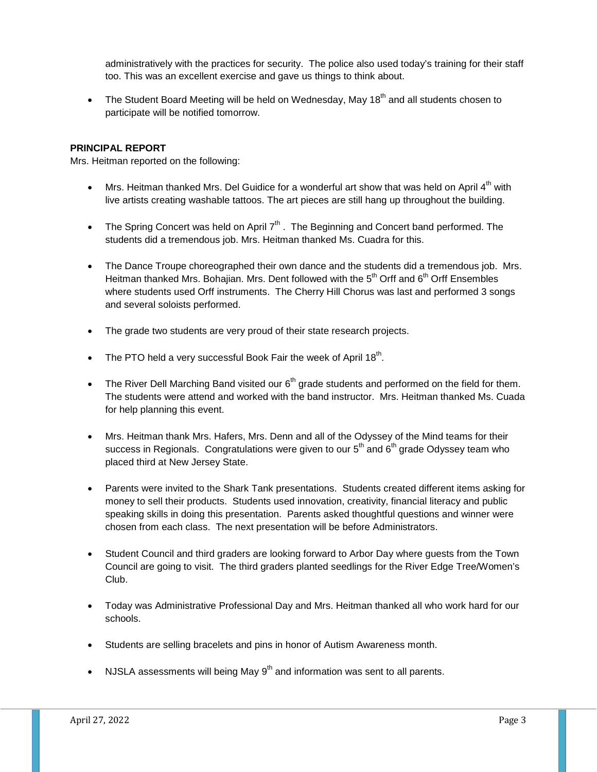administratively with the practices for security. The police also used today's training for their staff too. This was an excellent exercise and gave us things to think about.

The Student Board Meeting will be held on Wednesday, May  $18<sup>th</sup>$  and all students chosen to participate will be notified tomorrow.

## **PRINCIPAL REPORT**

Mrs. Heitman reported on the following:

- Mrs. Heitman thanked Mrs. Del Guidice for a wonderful art show that was held on April  $4<sup>th</sup>$  with live artists creating washable tattoos. The art pieces are still hang up throughout the building.
- The Spring Concert was held on April  $7<sup>th</sup>$ . The Beginning and Concert band performed. The students did a tremendous job. Mrs. Heitman thanked Ms. Cuadra for this.
- The Dance Troupe choreographed their own dance and the students did a tremendous job. Mrs. Heitman thanked Mrs. Bohajian. Mrs. Dent followed with the 5<sup>th</sup> Orff and 6<sup>th</sup> Orff Ensembles where students used Orff instruments. The Cherry Hill Chorus was last and performed 3 songs and several soloists performed.
- The grade two students are very proud of their state research projects.
- The PTO held a very successful Book Fair the week of April  $18<sup>th</sup>$ .
- The River Dell Marching Band visited our  $6<sup>th</sup>$  grade students and performed on the field for them. The students were attend and worked with the band instructor. Mrs. Heitman thanked Ms. Cuada for help planning this event.
- Mrs. Heitman thank Mrs. Hafers, Mrs. Denn and all of the Odyssey of the Mind teams for their success in Regionals. Congratulations were given to our  $5<sup>th</sup>$  and  $6<sup>th</sup>$  grade Odyssey team who placed third at New Jersey State.
- Parents were invited to the Shark Tank presentations. Students created different items asking for money to sell their products. Students used innovation, creativity, financial literacy and public speaking skills in doing this presentation. Parents asked thoughtful questions and winner were chosen from each class. The next presentation will be before Administrators.
- Student Council and third graders are looking forward to Arbor Day where guests from the Town Council are going to visit. The third graders planted seedlings for the River Edge Tree/Women's Club.
- Today was Administrative Professional Day and Mrs. Heitman thanked all who work hard for our schools.
- Students are selling bracelets and pins in honor of Autism Awareness month.
- NJSLA assessments will being May  $9<sup>th</sup>$  and information was sent to all parents.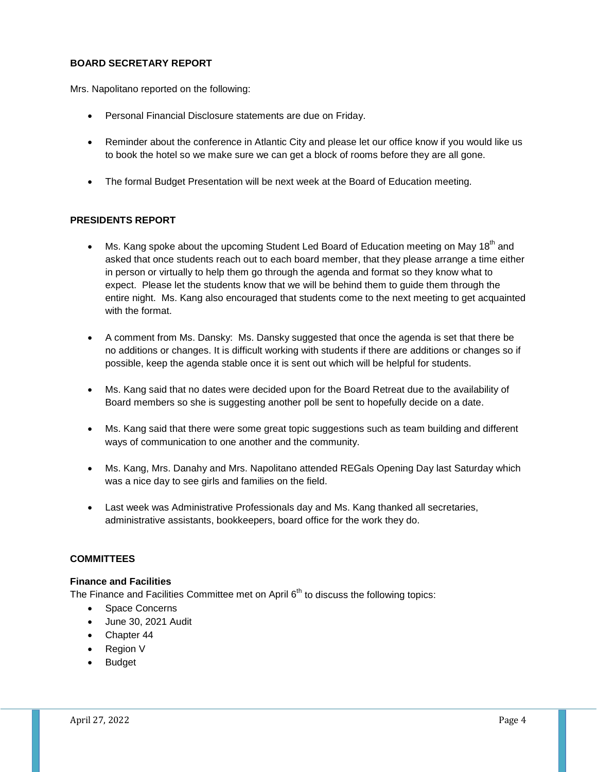## **BOARD SECRETARY REPORT**

Mrs. Napolitano reported on the following:

- Personal Financial Disclosure statements are due on Friday.
- Reminder about the conference in Atlantic City and please let our office know if you would like us to book the hotel so we make sure we can get a block of rooms before they are all gone.
- The formal Budget Presentation will be next week at the Board of Education meeting.

# **PRESIDENTS REPORT**

- Ms. Kang spoke about the upcoming Student Led Board of Education meeting on May 18<sup>th</sup> and asked that once students reach out to each board member, that they please arrange a time either in person or virtually to help them go through the agenda and format so they know what to expect. Please let the students know that we will be behind them to guide them through the entire night. Ms. Kang also encouraged that students come to the next meeting to get acquainted with the format.
- A comment from Ms. Dansky: Ms. Dansky suggested that once the agenda is set that there be no additions or changes. It is difficult working with students if there are additions or changes so if possible, keep the agenda stable once it is sent out which will be helpful for students.
- Ms. Kang said that no dates were decided upon for the Board Retreat due to the availability of Board members so she is suggesting another poll be sent to hopefully decide on a date.
- Ms. Kang said that there were some great topic suggestions such as team building and different ways of communication to one another and the community.
- Ms. Kang, Mrs. Danahy and Mrs. Napolitano attended REGals Opening Day last Saturday which was a nice day to see girls and families on the field.
- Last week was Administrative Professionals day and Ms. Kang thanked all secretaries, administrative assistants, bookkeepers, board office for the work they do.

#### **COMMITTEES**

# **Finance and Facilities**

The Finance and Facilities Committee met on April  $6<sup>th</sup>$  to discuss the following topics:

- Space Concerns
- June 30, 2021 Audit
- Chapter 44
- **Region V**
- Budget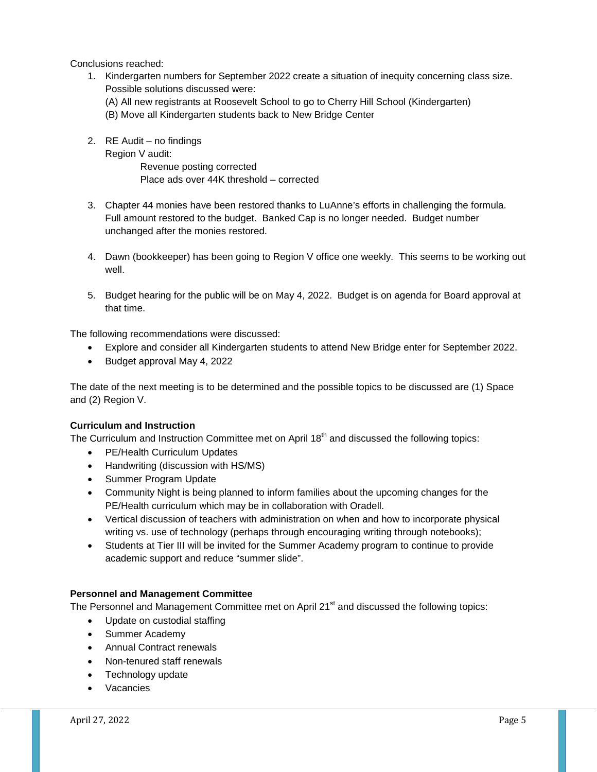Conclusions reached:

- 1. Kindergarten numbers for September 2022 create a situation of inequity concerning class size. Possible solutions discussed were: (A) All new registrants at Roosevelt School to go to Cherry Hill School (Kindergarten)
	- (B) Move all Kindergarten students back to New Bridge Center
- 2. RE Audit no findings

Region V audit: Revenue posting corrected Place ads over 44K threshold – corrected

- 3. Chapter 44 monies have been restored thanks to LuAnne's efforts in challenging the formula. Full amount restored to the budget. Banked Cap is no longer needed. Budget number unchanged after the monies restored.
- 4. Dawn (bookkeeper) has been going to Region V office one weekly. This seems to be working out well.
- 5. Budget hearing for the public will be on May 4, 2022. Budget is on agenda for Board approval at that time.

The following recommendations were discussed:

- Explore and consider all Kindergarten students to attend New Bridge enter for September 2022.
- Budget approval May 4, 2022

The date of the next meeting is to be determined and the possible topics to be discussed are (1) Space and (2) Region V.

# **Curriculum and Instruction**

The Curriculum and Instruction Committee met on April 18<sup>th</sup> and discussed the following topics:

- PE/Health Curriculum Updates
- Handwriting (discussion with HS/MS)
- Summer Program Update
- Community Night is being planned to inform families about the upcoming changes for the PE/Health curriculum which may be in collaboration with Oradell.
- Vertical discussion of teachers with administration on when and how to incorporate physical writing vs. use of technology (perhaps through encouraging writing through notebooks);
- Students at Tier III will be invited for the Summer Academy program to continue to provide academic support and reduce "summer slide".

#### **Personnel and Management Committee**

The Personnel and Management Committee met on April 21<sup>st</sup> and discussed the following topics:

- Update on custodial staffing
- Summer Academy
- Annual Contract renewals
- Non-tenured staff renewals
- Technology update
- Vacancies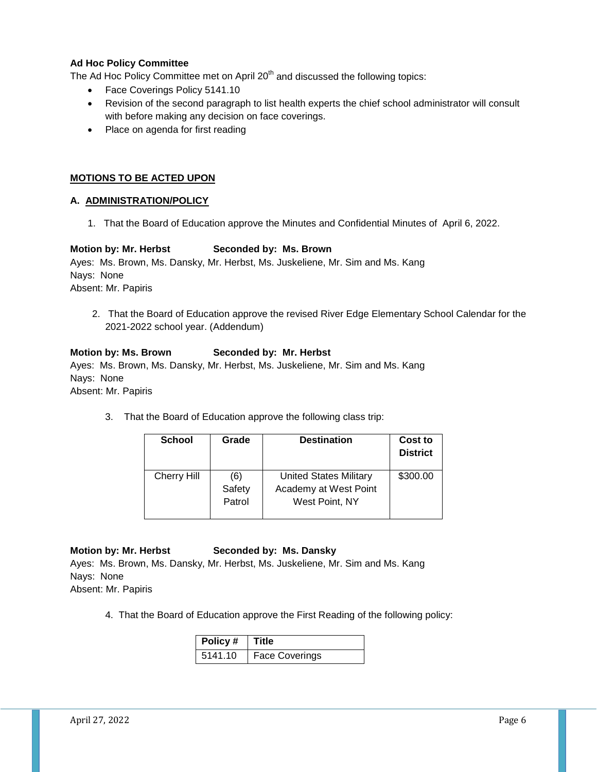# **Ad Hoc Policy Committee**

The Ad Hoc Policy Committee met on April  $20<sup>th</sup>$  and discussed the following topics:

- Face Coverings Policy 5141.10
- Revision of the second paragraph to list health experts the chief school administrator will consult with before making any decision on face coverings.
- Place on agenda for first reading

# **MOTIONS TO BE ACTED UPON**

# **A. ADMINISTRATION/POLICY**

1. That the Board of Education approve the Minutes and Confidential Minutes of April 6, 2022.

# **Motion by: Mr. Herbst Seconded by: Ms. Brown**

Ayes: Ms. Brown, Ms. Dansky, Mr. Herbst, Ms. Juskeliene, Mr. Sim and Ms. Kang Nays: None Absent: Mr. Papiris

 2. That the Board of Education approve the revised River Edge Elementary School Calendar for the 2021-2022 school year. (Addendum)

### **Motion by: Ms. Brown Seconded by: Mr. Herbst**

Ayes: Ms. Brown, Ms. Dansky, Mr. Herbst, Ms. Juskeliene, Mr. Sim and Ms. Kang Nays: None

Absent: Mr. Papiris

3. That the Board of Education approve the following class trip:

| <b>School</b>      | Grade  | <b>Destination</b>            | Cost to<br><b>District</b> |
|--------------------|--------|-------------------------------|----------------------------|
| <b>Cherry Hill</b> | (6)    | <b>United States Military</b> | \$300.00                   |
|                    | Safety | Academy at West Point         |                            |
|                    | Patrol | West Point, NY                |                            |
|                    |        |                               |                            |

#### **Motion by: Mr. Herbst Seconded by: Ms. Dansky**

Ayes: Ms. Brown, Ms. Dansky, Mr. Herbst, Ms. Juskeliene, Mr. Sim and Ms. Kang Nays: None

Absent: Mr. Papiris

4. That the Board of Education approve the First Reading of the following policy:

| Policy #   Title |                |
|------------------|----------------|
| 5141.10          | Face Coverings |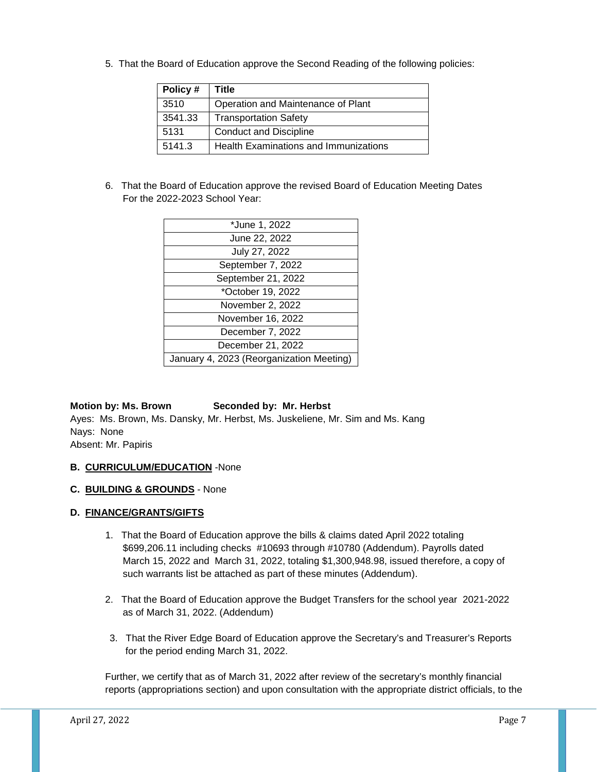5. That the Board of Education approve the Second Reading of the following policies:

| Policy# | Title                                 |
|---------|---------------------------------------|
| 3510    | Operation and Maintenance of Plant    |
| 3541.33 | <b>Transportation Safety</b>          |
| 5131    | <b>Conduct and Discipline</b>         |
| 5141.3  | Health Examinations and Immunizations |

6. That the Board of Education approve the revised Board of Education Meeting Dates For the 2022-2023 School Year:

| *June 1, 2022                            |
|------------------------------------------|
| June 22, 2022                            |
| July 27, 2022                            |
| September 7, 2022                        |
| September 21, 2022                       |
| *October 19, 2022                        |
| November 2, 2022                         |
| November 16, 2022                        |
| December 7, 2022                         |
| December 21, 2022                        |
| January 4, 2023 (Reorganization Meeting) |

# **Motion by: Ms. Brown Seconded by: Mr. Herbst**

Ayes: Ms. Brown, Ms. Dansky, Mr. Herbst, Ms. Juskeliene, Mr. Sim and Ms. Kang Nays: None Absent: Mr. Papiris

# **B. CURRICULUM/EDUCATION** -None

**C. BUILDING & GROUNDS** - None

# **D. FINANCE/GRANTS/GIFTS**

- 1. That the Board of Education approve the bills & claims dated April 2022 totaling \$699,206.11 including checks #10693 through #10780 (Addendum). Payrolls dated March 15, 2022 and March 31, 2022, totaling \$1,300,948.98, issued therefore, a copy of such warrants list be attached as part of these minutes (Addendum).
- 2. That the Board of Education approve the Budget Transfers for the school year 2021-2022 as of March 31, 2022. (Addendum)
- 3. That the River Edge Board of Education approve the Secretary's and Treasurer's Reports for the period ending March 31, 2022.

Further, we certify that as of March 31, 2022 after review of the secretary's monthly financial reports (appropriations section) and upon consultation with the appropriate district officials, to the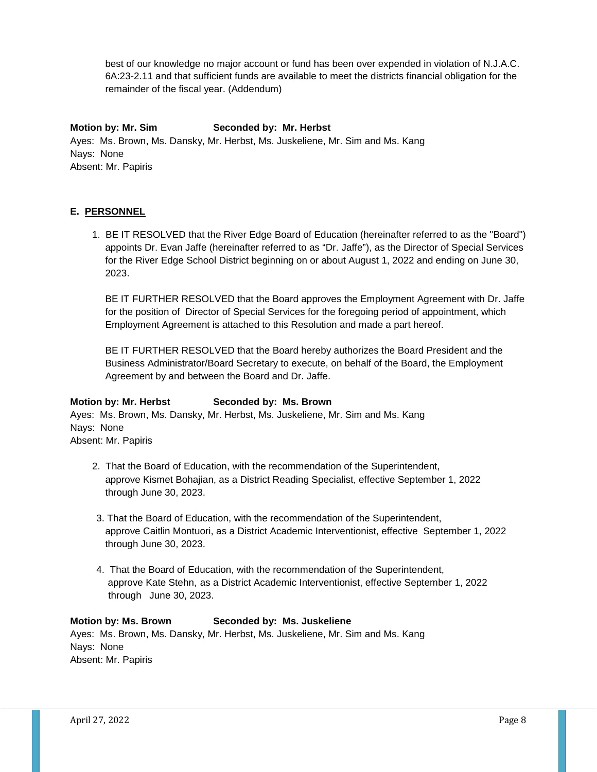best of our knowledge no major account or fund has been over expended in violation of N.J.A.C. 6A:23-2.11 and that sufficient funds are available to meet the districts financial obligation for the remainder of the fiscal year. (Addendum)

# **Motion by: Mr. Sim Seconded by: Mr. Herbst**

Ayes: Ms. Brown, Ms. Dansky, Mr. Herbst, Ms. Juskeliene, Mr. Sim and Ms. Kang Nays: None Absent: Mr. Papiris

# **E. PERSONNEL**

1. BE IT RESOLVED that the River Edge Board of Education (hereinafter referred to as the "Board") appoints Dr. Evan Jaffe (hereinafter referred to as "Dr. Jaffe"), as the Director of Special Services for the River Edge School District beginning on or about August 1, 2022 and ending on June 30, 2023.

BE IT FURTHER RESOLVED that the Board approves the Employment Agreement with Dr. Jaffe for the position of Director of Special Services for the foregoing period of appointment, which Employment Agreement is attached to this Resolution and made a part hereof.

BE IT FURTHER RESOLVED that the Board hereby authorizes the Board President and the Business Administrator/Board Secretary to execute, on behalf of the Board, the Employment Agreement by and between the Board and Dr. Jaffe.

# **Motion by: Mr. Herbst Seconded by: Ms. Brown**

Ayes: Ms. Brown, Ms. Dansky, Mr. Herbst, Ms. Juskeliene, Mr. Sim and Ms. Kang Nays: None Absent: Mr. Papiris

- 2. That the Board of Education, with the recommendation of the Superintendent, approve Kismet Bohajian, as a District Reading Specialist, effective September 1, 2022 through June 30, 2023.
- 3. That the Board of Education, with the recommendation of the Superintendent, approve Caitlin Montuori, as a District Academic Interventionist, effective September 1, 2022 through June 30, 2023.
- 4. That the Board of Education, with the recommendation of the Superintendent, approve Kate Stehn, as a District Academic Interventionist, effective September 1, 2022 through June 30, 2023.

# **Motion by: Ms. Brown Seconded by: Ms. Juskeliene**

Ayes: Ms. Brown, Ms. Dansky, Mr. Herbst, Ms. Juskeliene, Mr. Sim and Ms. Kang Nays: None Absent: Mr. Papiris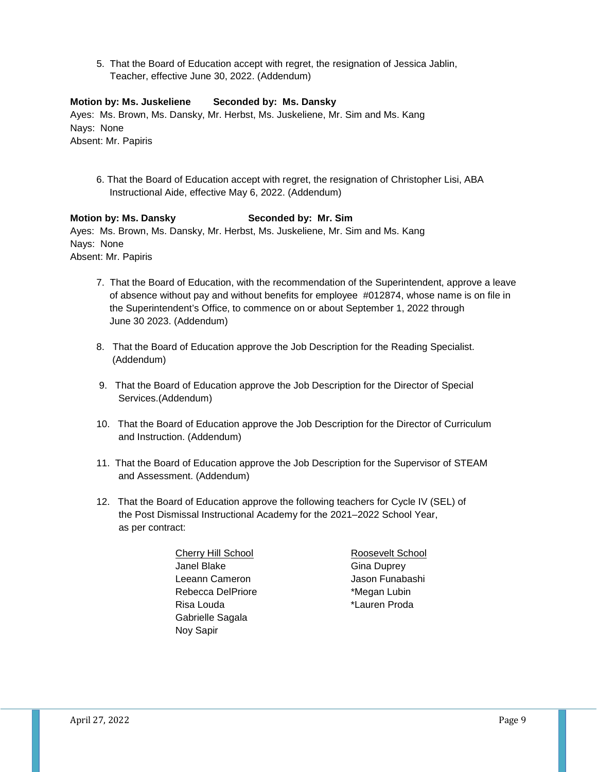5. That the Board of Education accept with regret, the resignation of Jessica Jablin, Teacher, effective June 30, 2022. (Addendum)

### **Motion by: Ms. Juskeliene Seconded by: Ms. Dansky**

Ayes: Ms. Brown, Ms. Dansky, Mr. Herbst, Ms. Juskeliene, Mr. Sim and Ms. Kang Nays: None Absent: Mr. Papiris

 6. That the Board of Education accept with regret, the resignation of Christopher Lisi, ABA Instructional Aide, effective May 6, 2022. (Addendum)

#### **Motion by: Ms. Dansky Seconded by: Mr. Sim**

Ayes: Ms. Brown, Ms. Dansky, Mr. Herbst, Ms. Juskeliene, Mr. Sim and Ms. Kang Nays: None Absent: Mr. Papiris

- 7. That the Board of Education, with the recommendation of the Superintendent, approve a leave of absence without pay and without benefits for employee #012874, whose name is on file in the Superintendent's Office, to commence on or about September 1, 2022 through June 30 2023. (Addendum)
- 8. That the Board of Education approve the Job Description for the Reading Specialist. (Addendum)
- 9. That the Board of Education approve the Job Description for the Director of Special Services.(Addendum)
- 10. That the Board of Education approve the Job Description for the Director of Curriculum and Instruction. (Addendum)
- 11. That the Board of Education approve the Job Description for the Supervisor of STEAM and Assessment. (Addendum)
- 12. That the Board of Education approve the following teachers for Cycle IV (SEL) of the Post Dismissal Instructional Academy for the 2021–2022 School Year, as per contract:
	- Cherry Hill School Roosevelt School Janel Blake Gina Duprey Leeann Cameron **International Cameron** Jason Funabashi Rebecca DelPriore **\*Megan Lubin** Risa Louda **\*Lauren Proda**  Gabrielle Sagala Noy Sapir
		-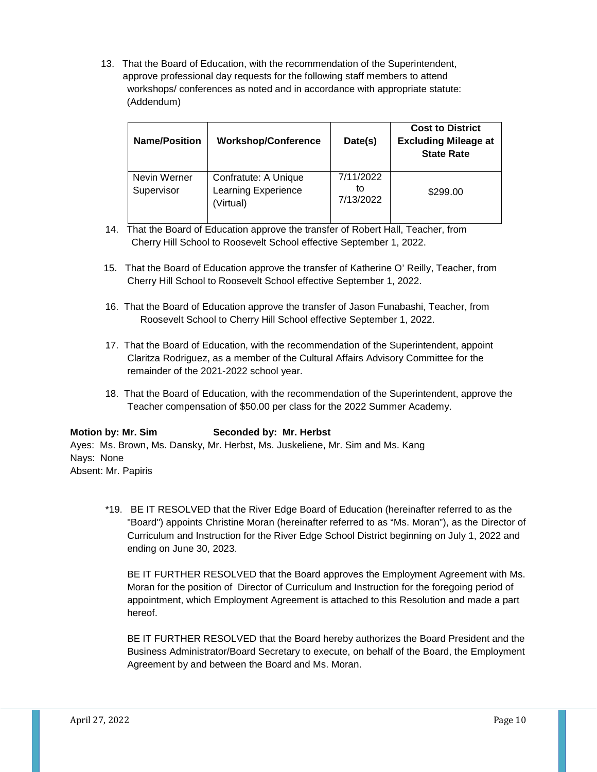13. That the Board of Education, with the recommendation of the Superintendent, approve professional day requests for the following staff members to attend workshops/ conferences as noted and in accordance with appropriate statute: (Addendum)

| <b>Name/Position</b>       | <b>Workshop/Conference</b>                               | Date(s)                      | <b>Cost to District</b><br><b>Excluding Mileage at</b><br><b>State Rate</b> |
|----------------------------|----------------------------------------------------------|------------------------------|-----------------------------------------------------------------------------|
| Nevin Werner<br>Supervisor | Confratute: A Unique<br>Learning Experience<br>(Virtual) | 7/11/2022<br>to<br>7/13/2022 | \$299.00                                                                    |

- 14. That the Board of Education approve the transfer of Robert Hall, Teacher, from Cherry Hill School to Roosevelt School effective September 1, 2022.
- 15. That the Board of Education approve the transfer of Katherine O' Reilly, Teacher, from Cherry Hill School to Roosevelt School effective September 1, 2022.
- 16. That the Board of Education approve the transfer of Jason Funabashi, Teacher, from Roosevelt School to Cherry Hill School effective September 1, 2022.
- 17. That the Board of Education, with the recommendation of the Superintendent, appoint Claritza Rodriguez, as a member of the Cultural Affairs Advisory Committee for the remainder of the 2021-2022 school year.
- 18. That the Board of Education, with the recommendation of the Superintendent, approve the Teacher compensation of \$50.00 per class for the 2022 Summer Academy.

# **Motion by: Mr. Sim Seconded by: Mr. Herbst**

Ayes: Ms. Brown, Ms. Dansky, Mr. Herbst, Ms. Juskeliene, Mr. Sim and Ms. Kang Nays: None Absent: Mr. Papiris

\*19. BE IT RESOLVED that the River Edge Board of Education (hereinafter referred to as the "Board") appoints Christine Moran (hereinafter referred to as "Ms. Moran"), as the Director of Curriculum and Instruction for the River Edge School District beginning on July 1, 2022 and ending on June 30, 2023.

BE IT FURTHER RESOLVED that the Board approves the Employment Agreement with Ms. Moran for the position of Director of Curriculum and Instruction for the foregoing period of appointment, which Employment Agreement is attached to this Resolution and made a part hereof.

BE IT FURTHER RESOLVED that the Board hereby authorizes the Board President and the Business Administrator/Board Secretary to execute, on behalf of the Board, the Employment Agreement by and between the Board and Ms. Moran.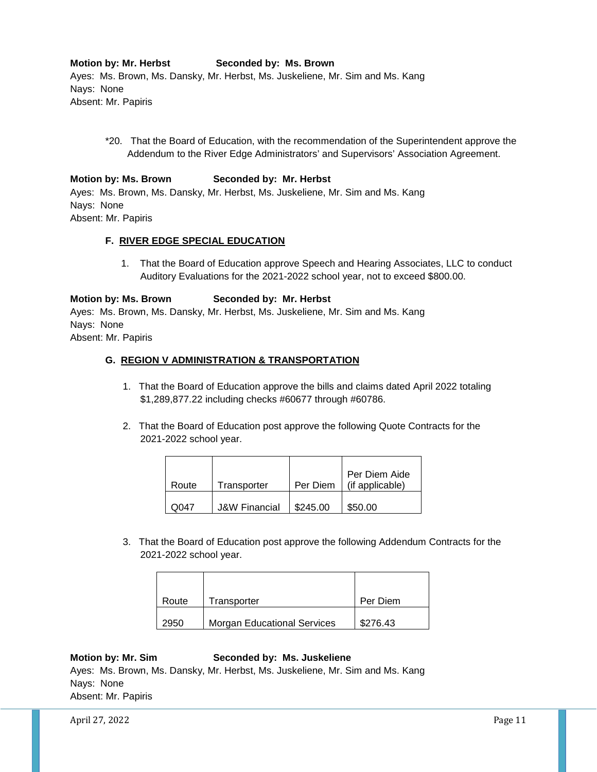**Motion by: Mr. Herbst Seconded by: Ms. Brown** Ayes: Ms. Brown, Ms. Dansky, Mr. Herbst, Ms. Juskeliene, Mr. Sim and Ms. Kang Nays: None Absent: Mr. Papiris

\*20. That the Board of Education, with the recommendation of the Superintendent approve the Addendum to the River Edge Administrators' and Supervisors' Association Agreement.

# **Motion by: Ms. Brown Seconded by: Mr. Herbst** Ayes: Ms. Brown, Ms. Dansky, Mr. Herbst, Ms. Juskeliene, Mr. Sim and Ms. Kang Nays: None

Absent: Mr. Papiris

# **F. RIVER EDGE SPECIAL EDUCATION**

 1. That the Board of Education approve Speech and Hearing Associates, LLC to conduct Auditory Evaluations for the 2021-2022 school year, not to exceed \$800.00.

# **Motion by: Ms. Brown Seconded by: Mr. Herbst**

Ayes: Ms. Brown, Ms. Dansky, Mr. Herbst, Ms. Juskeliene, Mr. Sim and Ms. Kang Nays: None Absent: Mr. Papiris

# **G. REGION V ADMINISTRATION & TRANSPORTATION**

- 1. That the Board of Education approve the bills and claims dated April 2022 totaling \$1,289,877.22 including checks #60677 through #60786.
- 2. That the Board of Education post approve the following Quote Contracts for the 2021-2022 school year.

|       |                          |          | Per Diem Aide   |
|-------|--------------------------|----------|-----------------|
| Route | Transporter              | Per Diem | (if applicable) |
|       |                          |          |                 |
| ററ47  | <b>J&amp;W Financial</b> | \$245.00 | \$50.00         |

3. That the Board of Education post approve the following Addendum Contracts for the 2021-2022 school year.

| Route | Transporter                        | Per Diem |
|-------|------------------------------------|----------|
| 2950  | <b>Morgan Educational Services</b> | \$276.43 |

# **Motion by: Mr. Sim Seconded by: Ms. Juskeliene**

Ayes: Ms. Brown, Ms. Dansky, Mr. Herbst, Ms. Juskeliene, Mr. Sim and Ms. Kang Nays: None Absent: Mr. Papiris